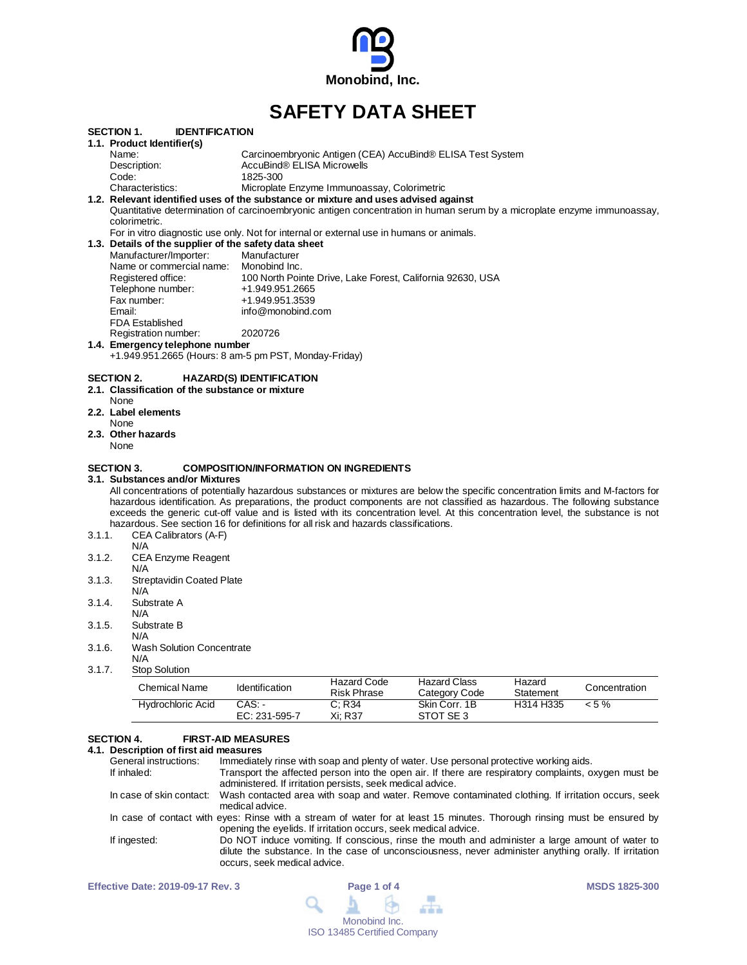

# **SAFETY DATA SHEET**

|        | <b>SECTION 1.</b><br><b>IDENTIFICATION</b>            |                                                                                                                                  |
|--------|-------------------------------------------------------|----------------------------------------------------------------------------------------------------------------------------------|
|        | 1.1. Product Identifier(s)                            |                                                                                                                                  |
|        | Name:                                                 | Carcinoembryonic Antigen (CEA) AccuBind® ELISA Test System                                                                       |
|        | Description:                                          | AccuBind® ELISA Microwells                                                                                                       |
|        | Code:                                                 | 1825-300                                                                                                                         |
|        | Characteristics:                                      | Microplate Enzyme Immunoassay, Colorimetric                                                                                      |
|        |                                                       | 1.2. Relevant identified uses of the substance or mixture and uses advised against                                               |
|        |                                                       | Quantitative determination of carcinoembryonic antigen concentration in human serum by a microplate enzyme immunoassay,          |
|        | colorimetric.                                         |                                                                                                                                  |
|        |                                                       | For in vitro diagnostic use only. Not for internal or external use in humans or animals.                                         |
|        | 1.3. Details of the supplier of the safety data sheet |                                                                                                                                  |
|        | Manufacturer/Importer:                                | Manufacturer                                                                                                                     |
|        | Name or commercial name: Monobind Inc.                |                                                                                                                                  |
|        | Registered office:                                    | 100 North Pointe Drive, Lake Forest, California 92630, USA                                                                       |
|        | Telephone number:                                     | +1.949.951.2665                                                                                                                  |
|        | Fax number:                                           | +1.949.951.3539                                                                                                                  |
|        | Email:                                                | info@monobind.com                                                                                                                |
|        | <b>FDA Established</b>                                |                                                                                                                                  |
|        | Registration number:                                  | 2020726                                                                                                                          |
|        | 1.4. Emergency telephone number                       |                                                                                                                                  |
|        | +1.949.951.2665 (Hours: 8 am-5 pm PST, Monday-Friday) |                                                                                                                                  |
|        | <b>SECTION 2.</b>                                     | <b>HAZARD(S) IDENTIFICATION</b>                                                                                                  |
|        | 2.1. Classification of the substance or mixture       |                                                                                                                                  |
|        | None                                                  |                                                                                                                                  |
|        | 2.2. Label elements                                   |                                                                                                                                  |
|        | None                                                  |                                                                                                                                  |
|        | 2.3. Other hazards                                    |                                                                                                                                  |
|        | None                                                  |                                                                                                                                  |
|        | <b>SECTION 3.</b>                                     | <b>COMPOSITION/INFORMATION ON INGREDIENTS</b>                                                                                    |
|        | 3.1. Substances and/or Mixtures                       |                                                                                                                                  |
|        |                                                       | All concentrations of potentially hazardous substances or mixtures are below the specific concentration limits and M-factors for |
|        |                                                       | hazardous identification. As preparations, the product components are not classified as hazardous. The following substance       |
|        |                                                       | exceeds the generic cut-off value and is listed with its concentration level. At this concentration level, the substance is not  |
|        |                                                       | hazardous. See section 16 for definitions for all risk and hazards classifications.                                              |
| 3.1.1. | CEA Calibrators (A-F)                                 |                                                                                                                                  |
|        | N/A                                                   |                                                                                                                                  |
| 3.1.2. | <b>CEA Enzyme Reagent</b>                             |                                                                                                                                  |
|        | N/A                                                   |                                                                                                                                  |
| 3.1.3. | <b>Streptavidin Coated Plate</b>                      |                                                                                                                                  |
|        | N/A                                                   |                                                                                                                                  |
| 3.1.4. | Substrate A                                           |                                                                                                                                  |
|        | N/A                                                   |                                                                                                                                  |
| 3.1.5. | Substrate B                                           |                                                                                                                                  |
|        | N/A                                                   |                                                                                                                                  |
| 3.1.6. | <b>Wash Solution Concentrate</b>                      |                                                                                                                                  |
|        | N/A                                                   |                                                                                                                                  |
| 3.1.7. | <b>Stop Solution</b>                                  |                                                                                                                                  |

| Chemical Name            | Identification          | Hazard Code<br>Risk Phrase | <b>Hazard Class</b><br>Category Code | Hazard<br>Statement | Concentration |
|--------------------------|-------------------------|----------------------------|--------------------------------------|---------------------|---------------|
| <b>Hydrochloric Acid</b> | CAS: -<br>EC: 231-595-7 | C: R34<br>Xi: R37          | Skin Corr, 1B<br>STOT SE3            | H314 H335           | $< 5 \%$      |

# **SECTION 4. FIRST-AID MEASURES**

# **4.1. Description of first aid measures**

| General instructions: | Immediately rinse with soap and plenty of water. Use personal protective working aids.                                                                                                                                                   |
|-----------------------|------------------------------------------------------------------------------------------------------------------------------------------------------------------------------------------------------------------------------------------|
| If inhaled:           | Transport the affected person into the open air. If there are respiratory complaints, oxygen must be<br>administered. If irritation persists, seek medical advice.                                                                       |
|                       | In case of skin contact: Wash contacted area with soap and water. Remove contaminated clothing. If irritation occurs, seek<br>medical advice.                                                                                            |
|                       | In case of contact with eyes: Rinse with a stream of water for at least 15 minutes. Thorough rinsing must be ensured by<br>opening the eyelids. If irritation occurs, seek medical advice.                                               |
| If ingested:          | Do NOT induce vomiting. If conscious, rinse the mouth and administer a large amount of water to<br>dilute the substance. In the case of unconsciousness, never administer anything orally. If irritation<br>occurs, seek medical advice. |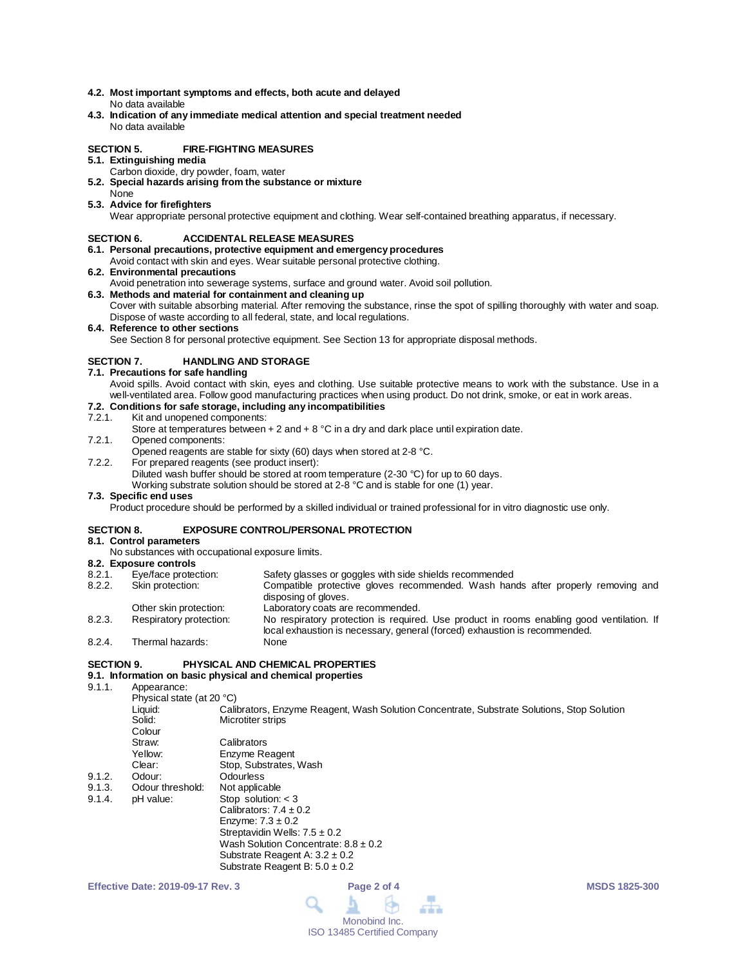- **4.2. Most important symptoms and effects, both acute and delayed** No data available
- **4.3. Indication of any immediate medical attention and special treatment needed** No data available

#### **SECTION 5. FIRE-FIGHTING MEASURES**

- **5.1. Extinguishing media**
	- Carbon dioxide, dry powder, foam, water
- **5.2. Special hazards arising from the substance or mixture** None
- **5.3. Advice for firefighters**

Wear appropriate personal protective equipment and clothing. Wear self-contained breathing apparatus, if necessary.

#### **SECTION 6. ACCIDENTAL RELEASE MEASURES**

- **6.1. Personal precautions, protective equipment and emergency procedures**
- Avoid contact with skin and eyes. Wear suitable personal protective clothing.
- **6.2. Environmental precautions**
- Avoid penetration into sewerage systems, surface and ground water. Avoid soil pollution.
- **6.3. Methods and material for containment and cleaning up** Cover with suitable absorbing material. After removing the substance, rinse the spot of spilling thoroughly with water and soap. Dispose of waste according to all federal, state, and local regulations.
- **6.4. Reference to other sections**

See Section 8 for personal protective equipment. See Section 13 for appropriate disposal methods.

#### **SECTION 7. HANDLING AND STORAGE**

- **7.1. Precautions for safe handling**
	- Avoid spills. Avoid contact with skin, eyes and clothing. Use suitable protective means to work with the substance. Use in a well-ventilated area. Follow good manufacturing practices when using product. Do not drink, smoke, or eat in work areas.

# **7.2. Conditions for safe storage, including any incompatibilities**

#### Kit and unopened components:

- Store at temperatures between  $+ 2$  and  $+ 8$  °C in a dry and dark place until expiration date.
- 7.2.1. Opened components:
- Opened reagents are stable for sixty (60) days when stored at 2-8 °C.
- 7.2.2. For prepared reagents (see product insert):
	- Diluted wash buffer should be stored at room temperature (2-30 °C) for up to 60 days.

Working substrate solution should be stored at 2-8 °C and is stable for one (1) year.

#### **7.3. Specific end uses**

Product procedure should be performed by a skilled individual or trained professional for in vitro diagnostic use only.

#### **SECTION 8. EXPOSURE CONTROL/PERSONAL PROTECTION**

#### **8.1. Control parameters**

No substances with occupational exposure limits.

### **8.2. Exposure controls**

| 8.2.1. | Eye/face protection:    | Safety glasses or goggles with side shields recommended                                                                                                                 |
|--------|-------------------------|-------------------------------------------------------------------------------------------------------------------------------------------------------------------------|
| 8.2.2. | Skin protection:        | Compatible protective gloves recommended. Wash hands after properly removing and<br>disposing of gloves.                                                                |
|        | Other skin protection:  | Laboratory coats are recommended.                                                                                                                                       |
| 8.2.3. | Respiratory protection: | No respiratory protection is required. Use product in rooms enabling good ventilation. If<br>local exhaustion is necessary, general (forced) exhaustion is recommended. |
| 8.2.4. | Thermal hazards:        | None                                                                                                                                                                    |

#### **SECTION 9. PHYSICAL AND CHEMICAL PROPERTIES**

# **9.1. Information on basic physical and chemical properties**

9.1.1 Appearance:

|        | .                         |                                                                                            |
|--------|---------------------------|--------------------------------------------------------------------------------------------|
|        | Physical state (at 20 °C) |                                                                                            |
|        | Liquid:                   | Calibrators, Enzyme Reagent, Wash Solution Concentrate, Substrate Solutions, Stop Solution |
|        | Solid:                    | Microtiter strips                                                                          |
|        | Colour                    |                                                                                            |
|        | Straw:                    | Calibrators                                                                                |
|        | Yellow:                   | Enzyme Reagent                                                                             |
|        | Clear:                    | Stop, Substrates, Wash                                                                     |
| 9.1.2. | Odour:                    | Odourless                                                                                  |
| 9.1.3. | Odour threshold:          | Not applicable                                                                             |
| 9.1.4. | pH value:                 | Stop solution: $<$ 3                                                                       |
|        |                           | Calibrators: $7.4 \pm 0.2$                                                                 |
|        |                           | Enzyme: $7.3 \pm 0.2$                                                                      |
|        |                           | Streptavidin Wells: $7.5 \pm 0.2$                                                          |
|        |                           | Wash Solution Concentrate: $8.8 \pm 0.2$                                                   |
|        |                           | Substrate Reagent A: $3.2 \pm 0.2$                                                         |
|        |                           | Substrate Reagent B: $5.0 \pm 0.2$                                                         |
|        |                           |                                                                                            |

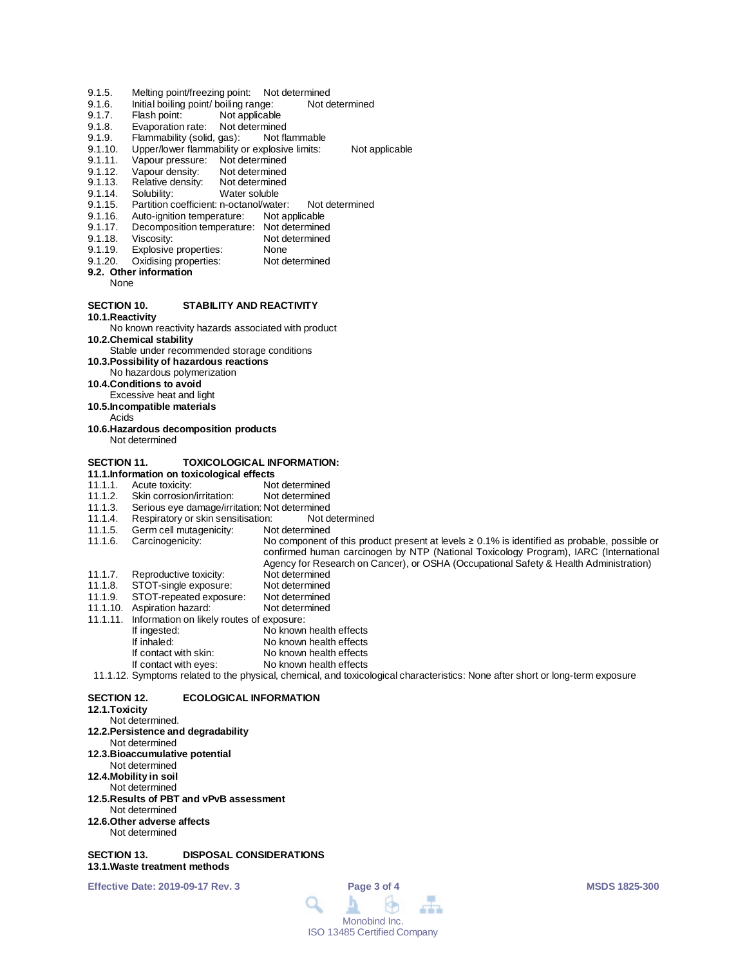- 9.1.5. Melting point/freezing point: Not determined<br>9.1.6. Initial boiling point/ boiling range: Not determined
- 9.1.6. Initial boiling point/ boiling range:<br>9.1.7. Flash point: Not applicable
- 9.1.7. Flash point: Not applicable<br>9.1.8. Evaporation rate: Not determine
- Evaporation rate: Not determined
- 9.1.9. Flammability (solid, gas): Not flammable<br>9.1.10. Upper/lower flammability or explosive limits:
- 9.1.10. Upper/lower flammability or explosive limits: Not applicable<br>9.1.11. Vapour pressure: Not determined
- 9.1.11. Vapour pressure: Not determined<br>9.1.12. Vapour density: Not determined
- Vapour density: Not determined<br>Relative density: Not determined
- 9.1.13. Relative density:<br>9.1.14. Solubility:
- 9.1.14. Solubility: Water soluble<br>9.1.15. Partition coefficient: n-octanol/wate
- 9.1.15. Partition coefficient: n-octanol/water: Not determined<br>9.1.16. Auto-ignition temperature: Not applicable
- 9.1.16. Auto-ignition temperature:<br>9.1.17. Decomposition temperature
- 9.1.17. Decomposition temperature: Not determined<br>9.1.18. Viscosity: Not determined
- 9.1.18. Viscosity: Not determined<br>9.1.19. Explosive properties: None
- 
- 9.1.19. Explosive properties: None<br>9.1.20. Oxidising properties: Not determined Oxidising properties:

#### **9.2. Other information**

None

#### **SECTION 10. STABILITY AND REACTIVITY**

**10.1.Reactivity**

# No known reactivity hazards associated with product

**10.2.Chemical stability**

- Stable under recommended storage conditions
- **10.3.Possibility of hazardous reactions**
- No hazardous polymerization
- **10.4.Conditions to avoid**
- Excessive heat and light
- **10.5.Incompatible materials**
- Acids
- **10.6.Hazardous decomposition products** Not determined
- 

#### **SECTION 11. TOXICOLOGICAL INFORMATION:**

- 
- **11.1.Information on toxicological effects** 11.1.1. Acute toxicity: Not determined<br>11.1.2. Skin corrosion/irritation: Not determined
- 11.1.2. Skin corrosion/irritation:<br>11.1.3. Serious eye damage/irrit
- 11.1.3. Serious eye damage/irritation: Not determined<br>11.1.4. Respiratory or skin sensitisation: Not determined
- 11.1.4. Respiratory or skin sensitisation: Not d<br>11.1.5. Germ cell mutagenicity: Not determined
- 11.1.5. Germ cell mutagenicity:<br>11.1.6. Carcinogenicity: No component of this product present at levels ≥ 0.1% is identified as probable, possible or
- 
- confirmed human carcinogen by NTP (National Toxicology Program), IARC (International
- Agency for Research on Cancer), or OSHA (Occupational Safety & Health Administration)
- 11.1.7. Reproductive toxicity: Not determined<br>11.1.8. STOT-single exposure: Not determined
- 11.1.8. STOT-single exposure: Not determined<br>11.1.9. STOT-repeated exposure: Not determined
- 11.1.9. STOT-repeated exposure: Not determined 11.1.10. Aspiration hazard:
- 
- 11.1.11. Information on likely routes of exposure:
- If ingested: No known health effects<br>
If inhaled: No known health effects No known health effects
	-
	- If contact with skin: No known health effects<br>If contact with eyes: No known health effects No known health effects
- 11.1.12. Symptoms related to the physical, chemical, and toxicological characteristics: None after short or long-term exposure

### **SECTION 12. ECOLOGICAL INFORMATION**

#### **12.1.Toxicity**

- Not determined. **12.2.Persistence and degradability** Not determined
- **12.3.Bioaccumulative potential**
- Not determined
- **12.4.Mobility in soil**
- Not determined
- **12.5.Results of PBT and vPvB assessment** Not determined
- **12.6.Other adverse affects**
- Not determined

#### **SECTION 13. DISPOSAL CONSIDERATIONS 13.1.Waste treatment methods**